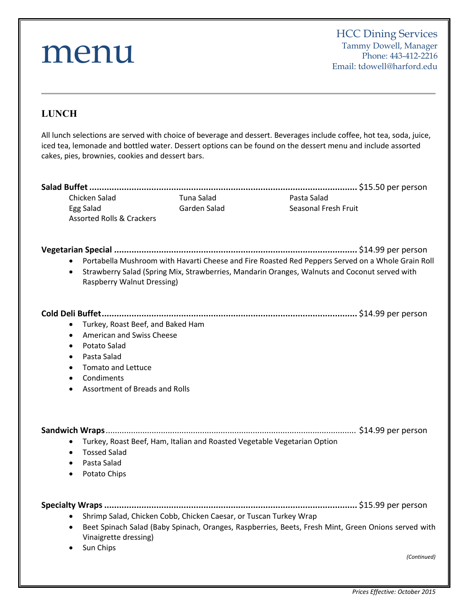# menu **LUNCH** All lunch selections are served with choice of beverage and dessert. Beverages include coffee, hot tea, soda, juice, iced tea, lemonade and bottled water. Dessert options can be found on the dessert menu and include assorted cakes, pies, brownies, cookies and dessert bars. **Salad Buffet............................................................................................................** \$15.50 per person Chicken Salad Tuna Salad Pasta Salad Egg Salad Garden Salad Seasonal Fresh Fruit Assorted Rolls & Crackers **Vegetarian Special ..................................................................................................** \$14.99 per person Portabella Mushroom with Havarti Cheese and Fire Roasted Red Peppers Served on a Whole Grain Roll Strawberry Salad (Spring Mix, Strawberries, Mandarin Oranges, Walnuts and Coconut served with Raspberry Walnut Dressing) **Cold Deli Buffet.......................................................................................................** \$14.99 per person Turkey, Roast Beef, and Baked Ham American and Swiss Cheese Potato Salad Pasta Salad • Tomato and Lettuce • Condiments Assortment of Breads and Rolls **Sandwich Wraps**............................................................................................................. \$14.99 per person Turkey, Roast Beef, Ham, Italian and Roasted Vegetable Vegetarian Option Tossed Salad Pasta Salad • Potato Chips **Specialty Wraps......................................................................................................** \$15.99 per person • Shrimp Salad, Chicken Cobb, Chicken Caesar, or Tuscan Turkey Wrap Beet Spinach Salad (Baby Spinach, Oranges, Raspberries, Beets, Fresh Mint, Green Onions served with Vinaigrette dressing) • Sun Chips *(Continued)* HCC Dining Services Tammy Dowell, Manager Phone: 443-412-2216 Email: tdowell@harford.edu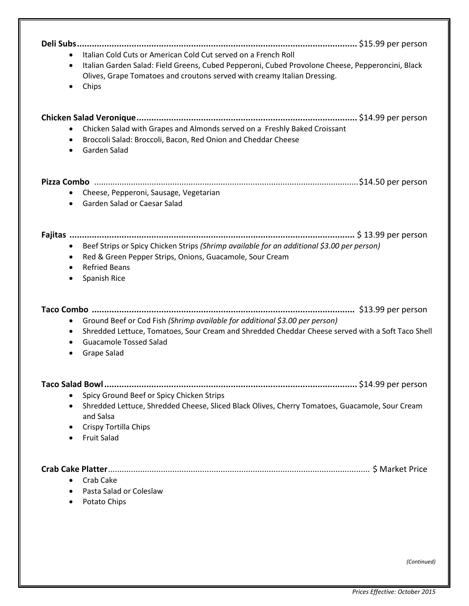| Italian Cold Cuts or American Cold Cut served on a French Roll<br>$\bullet$<br>Italian Garden Salad: Field Greens, Cubed Pepperoni, Cubed Provolone Cheese, Pepperoncini, Black<br>$\bullet$<br>Olives, Grape Tomatoes and croutons served with creamy Italian Dressing.<br>Chips |
|-----------------------------------------------------------------------------------------------------------------------------------------------------------------------------------------------------------------------------------------------------------------------------------|
| Chicken Salad with Grapes and Almonds served on a Freshly Baked Croissant<br>Broccoli Salad: Broccoli, Bacon, Red Onion and Cheddar Cheese<br>$\bullet$<br>Garden Salad<br>$\bullet$                                                                                              |
| Cheese, Pepperoni, Sausage, Vegetarian<br>Garden Salad or Caesar Salad<br>$\bullet$                                                                                                                                                                                               |
| Beef Strips or Spicy Chicken Strips (Shrimp available for an additional \$3.00 per person)<br>$\bullet$<br>Red & Green Pepper Strips, Onions, Guacamole, Sour Cream<br>$\bullet$<br><b>Refried Beans</b><br>$\bullet$<br>Spanish Rice                                             |
| Ground Beef or Cod Fish (Shrimp available for additional \$3.00 per person)<br>$\bullet$<br>Shredded Lettuce, Tomatoes, Sour Cream and Shredded Cheddar Cheese served with a Soft Taco Shell<br>٠<br><b>Guacamole Tossed Salad</b><br>$\bullet$<br>Grape Salad                    |
| Spicy Ground Beef or Spicy Chicken Strips<br>$\bullet$<br>Shredded Lettuce, Shredded Cheese, Sliced Black Olives, Cherry Tomatoes, Guacamole, Sour Cream<br>٠<br>and Salsa<br>Crispy Tortilla Chips<br><b>Fruit Salad</b>                                                         |
| Crab Cake<br>Pasta Salad or Coleslaw<br>Potato Chips                                                                                                                                                                                                                              |

*(Continued)*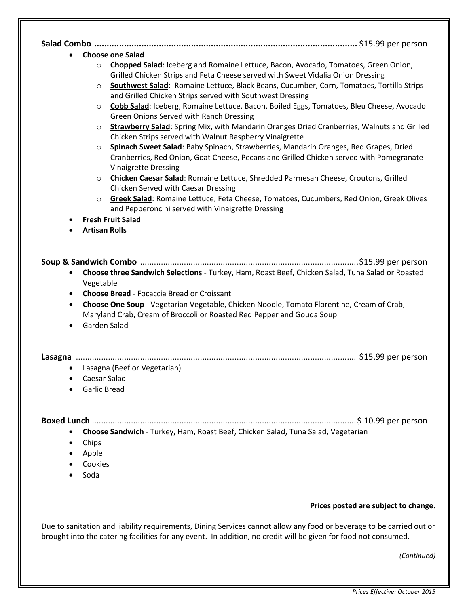| <b>Choose one Salad</b>                                                                                                                                                                                                                                                                                                                                                                 |  |
|-----------------------------------------------------------------------------------------------------------------------------------------------------------------------------------------------------------------------------------------------------------------------------------------------------------------------------------------------------------------------------------------|--|
| Chopped Salad: Iceberg and Romaine Lettuce, Bacon, Avocado, Tomatoes, Green Onion,<br>$\circ$<br>Grilled Chicken Strips and Feta Cheese served with Sweet Vidalia Onion Dressing<br>Southwest Salad: Romaine Lettuce, Black Beans, Cucumber, Corn, Tomatoes, Tortilla Strips<br>$\circ$                                                                                                 |  |
| and Grilled Chicken Strips served with Southwest Dressing                                                                                                                                                                                                                                                                                                                               |  |
| Cobb Salad: Iceberg, Romaine Lettuce, Bacon, Boiled Eggs, Tomatoes, Bleu Cheese, Avocado<br>$\circ$<br>Green Onions Served with Ranch Dressing                                                                                                                                                                                                                                          |  |
| Strawberry Salad: Spring Mix, with Mandarin Oranges Dried Cranberries, Walnuts and Grilled<br>$\circ$<br>Chicken Strips served with Walnut Raspberry Vinaigrette                                                                                                                                                                                                                        |  |
| Spinach Sweet Salad: Baby Spinach, Strawberries, Mandarin Oranges, Red Grapes, Dried<br>$\circ$<br>Cranberries, Red Onion, Goat Cheese, Pecans and Grilled Chicken served with Pomegranate<br><b>Vinaigrette Dressing</b>                                                                                                                                                               |  |
| Chicken Caesar Salad: Romaine Lettuce, Shredded Parmesan Cheese, Croutons, Grilled<br>$\circ$<br>Chicken Served with Caesar Dressing                                                                                                                                                                                                                                                    |  |
| Greek Salad: Romaine Lettuce, Feta Cheese, Tomatoes, Cucumbers, Red Onion, Greek Olives<br>$\circ$<br>and Pepperoncini served with Vinaigrette Dressing                                                                                                                                                                                                                                 |  |
| <b>Fresh Fruit Salad</b>                                                                                                                                                                                                                                                                                                                                                                |  |
| <b>Artisan Rolls</b>                                                                                                                                                                                                                                                                                                                                                                    |  |
| Choose three Sandwich Selections - Turkey, Ham, Roast Beef, Chicken Salad, Tuna Salad or Roasted<br>٠<br>Vegetable<br><b>Choose Bread - Focaccia Bread or Croissant</b><br>$\bullet$<br>Choose One Soup - Vegetarian Vegetable, Chicken Noodle, Tomato Florentine, Cream of Crab,<br>$\bullet$<br>Maryland Crab, Cream of Broccoli or Roasted Red Pepper and Gouda Soup<br>Garden Salad |  |
|                                                                                                                                                                                                                                                                                                                                                                                         |  |
|                                                                                                                                                                                                                                                                                                                                                                                         |  |
| • Lasagna (Beef or Vegetarian)                                                                                                                                                                                                                                                                                                                                                          |  |
| <b>Caesar Salad</b><br><b>Garlic Bread</b>                                                                                                                                                                                                                                                                                                                                              |  |
|                                                                                                                                                                                                                                                                                                                                                                                         |  |
|                                                                                                                                                                                                                                                                                                                                                                                         |  |
| Choose Sandwich - Turkey, Ham, Roast Beef, Chicken Salad, Tuna Salad, Vegetarian                                                                                                                                                                                                                                                                                                        |  |
| Chips                                                                                                                                                                                                                                                                                                                                                                                   |  |
| Apple                                                                                                                                                                                                                                                                                                                                                                                   |  |
| Cookies<br>Soda                                                                                                                                                                                                                                                                                                                                                                         |  |
|                                                                                                                                                                                                                                                                                                                                                                                         |  |

#### **Prices posted are subject to change.**

Due to sanitation and liability requirements, Dining Services cannot allow any food or beverage to be carried out or brought into the catering facilities for any event. In addition, no credit will be given for food not consumed.

*(Continued)*